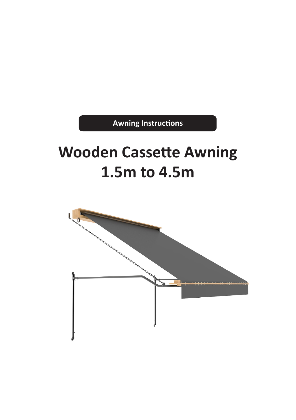**Awning Instructions**

# **Wooden Cassette Awning 1.5m to 4.5m**

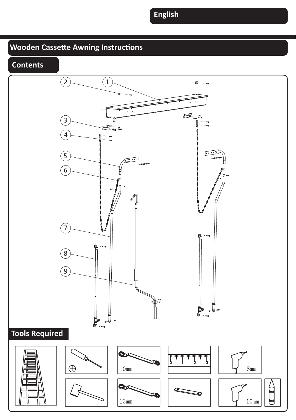# **Wooden Cassette Awning Instructions**



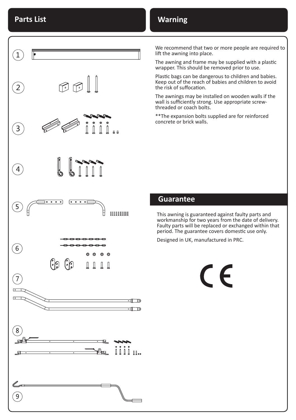### **Warning**

 $\mathbf{1}$  $\mathbb{G} \oplus \llbracket \, \cdot \, \rrbracket$  $\overline{2}$  $\left(3\right)$  $\mathbf{A}$  $\overline{\bullet}$   $\overline{\bullet}$   $\overline{\bullet}$   $\overline{\bullet}$   $\overline{\bullet}$  $\overline{\bullet}$   $\overline{\bullet}$   $\overline{\bullet}$   $\overline{\bullet}$   $\overline{\bullet}$  $\mathbf{5}$  $1111111111$  $\widehat{6}$  $\binom{6}{3}$  $\mathbb I$ 7  $\overline{\phantom{a}}$ 8 лĹ ؘ9

We recommend that two or more people are required to lift the awning into place.

The awning and frame may be supplied with a plastic wrapper. This should be removed prior to use.

Plastic bags can be dangerous to children and babies. Keep out of the reach of babies and children to avoid the risk of suffocation.

The awnings may be installed on wooden walls if the wall is sufficiently strong. Use appropriate screwthreaded or coach bolts.

\*\*The expansion bolts supplied are for reinforced concrete or brick walls.

### **Guarantee**

This awning is guaranteed against faulty parts and workmanship for two years from the date of delivery. Faulty parts will be replaced or exchanged within that period. The guarantee covers domestic use only.

 $\epsilon$ 

Designed in UK, manufactured in PRC.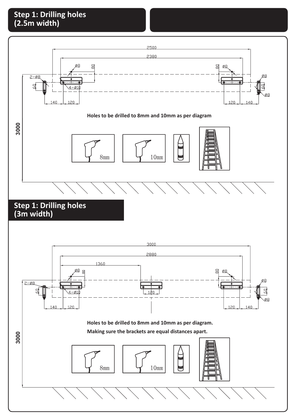### **Step 1: Drilling holes (2.5m width)**

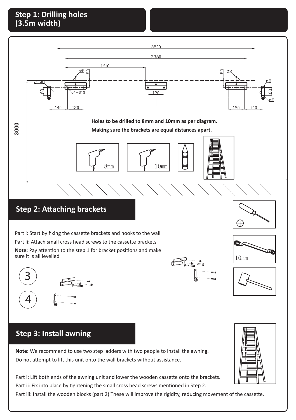### **Step 1: Drilling holes (3.5m width)**

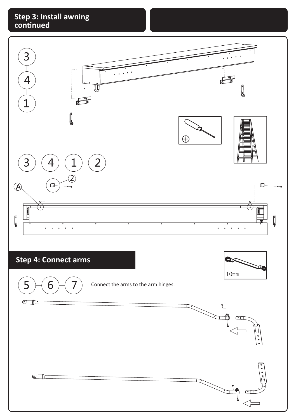### **Step 3: Install awning continued**

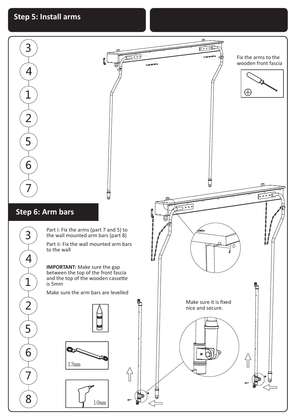## **Step 5: Install arms**

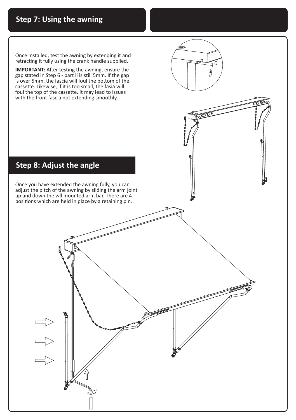Once installed, test the awning by extending it and retracting it fully using the crank handle supplied.

**IMPORTANT:** After testing the awning, ensure the gap stated in Step 6 - part ii is still 5mm. If the gap is over 5mm, the fascia will foul the bottom of the cassette. Likewise, if it is too small, the fasia will foul the top of the cassette. It may lead to issues with the front fascia not extending smoothly.



Once you have extended the awning fully, you can adjust the pitch of the awning by sliding the arm joint up and down the wll mounted arm bar. There are 4 positions which are held in place by a retaining pin.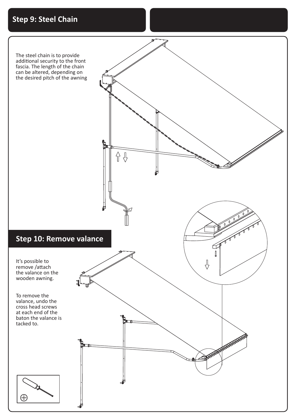

The steel chain is to provide additional security to the front fascia. The length of the chain can be altered, depending on the desired pitch of the awning

### **Step 10: Remove valance**

It's possible to remove /attach the valance on the wooden awning.

To remove the valance, undo the cross head screws at each end of the baton the valance is tacked to.